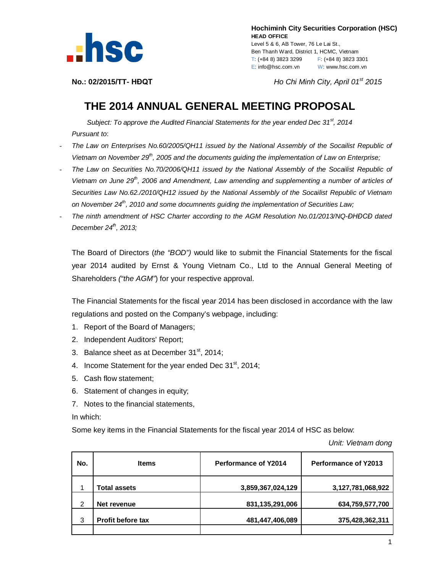

 **Hochiminh City Securities Corporation (HSC) HEAD OFFICE** Level 5 & 6, AB Tower, 76 Le Lai St., Ben Thanh Ward, District 1, HCMC, Vietnam T: (+84 8) 3823 3299 F: (+84 8) 3823 3301 E: info@hsc.com.vn W: www.hsc.com.vn

**No.: 02/2015/TT- HĐQT** *Ho Chi Minh City, April 01 st 2015*

## **THE 2014 ANNUAL GENERAL MEETING PROPOSAL**

*Subject: To approve the Audited Financial Statements for the year ended Dec 31st , 2014 Pursuant to*:

- *The Law on Enterprises No.60/2005/QH11 issued by the National Assembly of the Socailist Republic of Vietnam on November 29th, 2005 and the documents guiding the implementation of Law on Enterprise;*
- *The Law on Securities No.70/2006/QH11 issued by the National Assembly of the Socailist Republic of Vietnam on June 29th, 2006 and Amendment, Law amending and supplementing a number of articles of Securities Law No.62./2010/QH12 issued by the National Assembly of the Socailist Republic of Vietnam on November 24th, 2010 and some documnents guiding the implementation of Securities Law;*
- *The ninth amendment of HSC Charter according to the AGM Resolution No.01/2013/NQ-ĐHĐCĐ dated December 24 th , 2013;*

The Board of Directors (*the "BOD")* would like to submit the Financial Statements for the fiscal year 2014 audited by Ernst & Young Vietnam Co., Ltd to the Annual General Meeting of Shareholders *("the AGM"*) for your respective approval.

The Financial Statements for the fiscal year 2014 has been disclosed in accordance with the law regulations and posted on the Company's webpage, including:

- 1. Report of the Board of Managers;
- 2. Independent Auditors' Report;
- 3. Balance sheet as at December  $31<sup>st</sup>$ , 2014;
- 4. Income Statement for the year ended Dec  $31<sup>st</sup>$ , 2014;
- 5. Cash flow statement;
- 6. Statement of changes in equity;
- 7. Notes to the financial statements,

## In which:

Some key items in the Financial Statements for the fiscal year 2014 of HSC as below:

*Unit: Vietnam dong*

| No. | <b>Items</b>             | <b>Performance of Y2014</b> | <b>Performance of Y2013</b> |
|-----|--------------------------|-----------------------------|-----------------------------|
|     | <b>Total assets</b>      | 3,859,367,024,129           | 3,127,781,068,922           |
| 2   | Net revenue              | 831,135,291,006             | 634,759,577,700             |
| 3   | <b>Profit before tax</b> | 481,447,406,089             | 375,428,362,311             |
|     |                          |                             |                             |